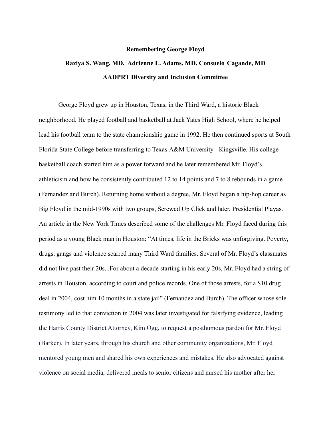## **Remembering George Floyd**

## **Raziya S. Wang, MD, Adrienne L. Adams, MD, Consuelo Cagande, MD AADPRT Diversity and Inclusion Committee**

George Floyd grew up in Houston, Texas, in the Third Ward, a historic Black neighborhood. He played football and basketball at Jack Yates High School, where he helped lead his football team to the state championship game in 1992. He then continued sports at South Florida State College before transferring to Texas A&M University - Kingsville. His college basketball coach started him as a power forward and he later remembered Mr. Floyd's athleticism and how he consistently contributed 12 to 14 points and 7 to 8 rebounds in a game (Fernandez and Burch). Returning home without a degree, Mr. Floyd began a hip-hop career as Big Floyd in the mid-1990s with two groups, Screwed Up Click and later, Presidential Playas. An article in the New York Times described some of the challenges Mr. Floyd faced during this period as a young Black man in Houston: "At times, life in the Bricks was unforgiving. Poverty, drugs, gangs and violence scarred many Third Ward families. Several of Mr. Floyd's classmates did not live past their 20s...For about a decade starting in his early 20s, Mr. Floyd had a string of arrests in Houston, according to court and police records. One of those arrests, for a \$10 drug deal in 2004, cost him 10 months in a state jail" (Fernandez and Burch). The officer whose sole testimony led to that conviction in 2004 was later investigated for falsifying evidence, leading the Harris County District Attorney, Kim Ogg, to request a posthumous pardon for Mr. Floyd (Barker). In later years, through his church and other community organizations, Mr. Floyd mentored young men and shared his own experiences and mistakes. He also advocated against violence on social media, delivered meals to senior citizens and nursed his mother after her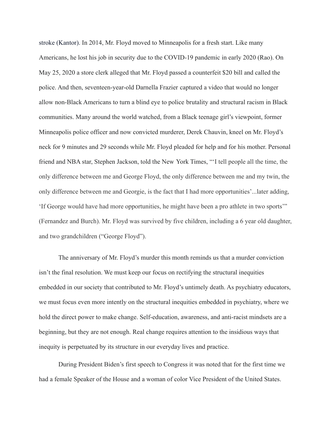stroke (Kantor). In 2014, Mr. Floyd moved to Minneapolis for a fresh start. Like many Americans, he lost his job in security due to the COVID-19 pandemic in early 2020 (Rao). On May 25, 2020 a store clerk alleged that Mr. Floyd passed a counterfeit \$20 bill and called the police. And then, seventeen-year-old Darnella Frazier captured a video that would no longer allow non-Black Americans to turn a blind eye to police brutality and structural racism in Black communities. Many around the world watched, from a Black teenage girl's viewpoint, former Minneapolis police officer and now convicted murderer, Derek Chauvin, kneel on Mr. Floyd's neck for 9 minutes and 29 seconds while Mr. Floyd pleaded for help and for his mother. Personal friend and NBA star, Stephen Jackson, told the New York Times, "'I tell people all the time, the only difference between me and George Floyd, the only difference between me and my twin, the only difference between me and Georgie, is the fact that I had more opportunities'...later adding, 'If George would have had more opportunities, he might have been a pro athlete in two sports'" (Fernandez and Burch). Mr. Floyd was survived by five children, including a 6 year old daughter, and two grandchildren ("George Floyd").

The anniversary of Mr. Floyd's murder this month reminds us that a murder conviction isn't the final resolution. We must keep our focus on rectifying the structural inequities embedded in our society that contributed to Mr. Floyd's untimely death. As psychiatry educators, we must focus even more intently on the structural inequities embedded in psychiatry, where we hold the direct power to make change. Self-education, awareness, and anti-racist mindsets are a beginning, but they are not enough. Real change requires attention to the insidious ways that inequity is perpetuated by its structure in our everyday lives and practice.

During President Biden's first speech to Congress it was noted that for the first time we had a female Speaker of the House and a woman of color Vice President of the United States.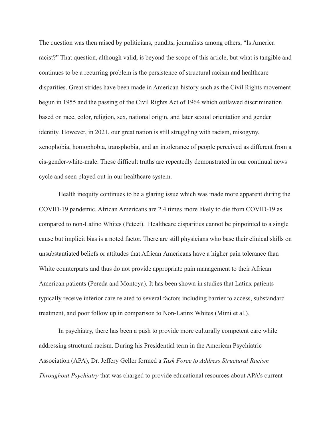The question was then raised by politicians, pundits, journalists among others, "Is America racist?" That question, although valid, is beyond the scope of this article, but what is tangible and continues to be a recurring problem is the persistence of structural racism and healthcare disparities. Great strides have been made in American history such as the Civil Rights movement begun in 1955 and the passing of the Civil Rights Act of 1964 which outlawed discrimination based on race, color, religion, sex, national origin, and later sexual orientation and gender identity. However, in 2021, our great nation is still struggling with racism, misogyny, xenophobia, homophobia, transphobia, and an intolerance of people perceived as different from a cis-gender-white-male. These difficult truths are repeatedly demonstrated in our continual news cycle and seen played out in our healthcare system.

Health inequity continues to be a glaring issue which was made more apparent during the COVID-19 pandemic. African Americans are 2.4 times more likely to die from COVID-19 as compared to non-Latino Whites (Peteet). Healthcare disparities cannot be pinpointed to a single cause but implicit bias is a noted factor. There are still physicians who base their clinical skills on unsubstantiated beliefs or attitudes that African Americans have a higher pain tolerance than White counterparts and thus do not provide appropriate pain management to their African American patients (Pereda and Montoya). It has been shown in studies that Latinx patients typically receive inferior care related to several factors including barrier to access, substandard treatment, and poor follow up in comparison to Non-Latinx Whites (Mimi et al.).

In psychiatry, there has been a push to provide more culturally competent care while addressing structural racism. During his Presidential term in the American Psychiatric Association (APA), Dr. Jeffery Geller formed a *Task Force to Address Structural Racism Throughout Psychiatry* that was charged to provide educational resources about APA's current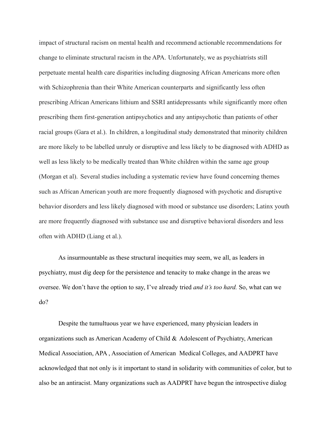impact of structural racism on mental health and recommend actionable recommendations for change to eliminate structural racism in the APA. Unfortunately, we as psychiatrists still perpetuate mental health care disparities including diagnosing African Americans more often with Schizophrenia than their White American counterparts and significantly less often prescribing African Americans lithium and SSRI antidepressants while significantly more often prescribing them first-generation antipsychotics and any antipsychotic than patients of other racial groups (Gara et al.). In children, a longitudinal study demonstrated that minority children are more likely to be labelled unruly or disruptive and less likely to be diagnosed with ADHD as well as less likely to be medically treated than White children within the same age group (Morgan et al). Several studies including a systematic review have found concerning themes such as African American youth are more frequently diagnosed with psychotic and disruptive behavior disorders and less likely diagnosed with mood or substance use disorders; Latinx youth are more frequently diagnosed with substance use and disruptive behavioral disorders and less often with ADHD (Liang et al.).

As insurmountable as these structural inequities may seem, we all, as leaders in psychiatry, must dig deep for the persistence and tenacity to make change in the areas we oversee. We don't have the option to say, I've already tried *and it's too hard.* So, what can we do?

Despite the tumultuous year we have experienced, many physician leaders in organizations such as American Academy of Child & Adolescent of Psychiatry, American Medical Association, APA , Association of American Medical Colleges, and AADPRT have acknowledged that not only is it important to stand in solidarity with communities of color, but to also be an antiracist. Many organizations such as AADPRT have begun the introspective dialog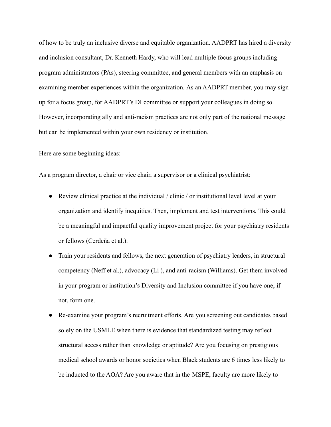of how to be truly an inclusive diverse and equitable organization. AADPRT has hired a diversity and inclusion consultant, Dr. Kenneth Hardy, who will lead multiple focus groups including program administrators (PAs), steering committee, and general members with an emphasis on examining member experiences within the organization. As an AADPRT member, you may sign up for a focus group, for AADPRT's DI committee or support your colleagues in doing so. However, incorporating ally and anti-racism practices are not only part of the national message but can be implemented within your own residency or institution.

Here are some beginning ideas:

As a program director, a chair or vice chair, a supervisor or a clinical psychiatrist:

- Review clinical practice at the individual / clinic / or institutional level level at your organization and identify inequities. Then, implement and test interventions. This could be a meaningful and impactful quality improvement project for your psychiatry residents or fellows (Cerdeña et al.).
- Train your residents and fellows, the next generation of psychiatry leaders, in structural competency (Neff et al.), advocacy (Li ), and anti-racism (Williams). Get them involved in your program or institution's Diversity and Inclusion committee if you have one; if not, form one.
- Re-examine your program's recruitment efforts. Are you screening out candidates based solely on the USMLE when there is evidence that standardized testing may reflect structural access rather than knowledge or aptitude? Are you focusing on prestigious medical school awards or honor societies when Black students are 6 times less likely to be inducted to the AOA? Are you aware that in the MSPE, faculty are more likely to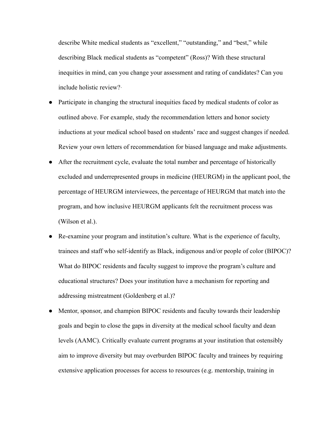describe White medical students as "excellent," "outstanding," and "best," while describing Black medical students as "competent" (Ross)? With these structural inequities in mind, can you change your assessment and rating of candidates? Can you include holistic review?·

- Participate in changing the structural inequities faced by medical students of color as outlined above. For example, study the recommendation letters and honor society inductions at your medical school based on students' race and suggest changes if needed. Review your own letters of recommendation for biased language and make adjustments.
- After the recruitment cycle, evaluate the total number and percentage of historically excluded and underrepresented groups in medicine (HEURGM) in the applicant pool, the percentage of HEURGM interviewees, the percentage of HEURGM that match into the program, and how inclusive HEURGM applicants felt the recruitment process was (Wilson et al.).
- Re-examine your program and institution's culture. What is the experience of faculty, trainees and staff who self-identify as Black, indigenous and/or people of color (BIPOC)? What do BIPOC residents and faculty suggest to improve the program's culture and educational structures? Does your institution have a mechanism for reporting and addressing mistreatment (Goldenberg et al.)?
- Mentor, sponsor, and champion BIPOC residents and faculty towards their leadership goals and begin to close the gaps in diversity at the medical school faculty and dean levels (AAMC). Critically evaluate current programs at your institution that ostensibly aim to improve diversity but may overburden BIPOC faculty and trainees by requiring extensive application processes for access to resources (e.g. mentorship, training in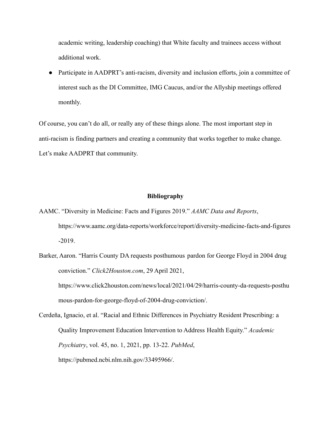academic writing, leadership coaching) that White faculty and trainees access without additional work.

• Participate in AADPRT's anti-racism, diversity and inclusion efforts, join a committee of interest such as the DI Committee, IMG Caucus, and/or the Allyship meetings offered monthly.

Of course, you can't do all, or really any of these things alone. The most important step in anti-racism is finding partners and creating a community that works together to make change. Let's make AADPRT that community.

## **Bibliography**

- AAMC. "Diversity in Medicine: Facts and Figures 2019." *AAMC Data and Reports*, https://www.aamc.org/data-reports/workforce/report/diversity-medicine-facts-and-figures -2019.
- Barker, Aaron. "Harris County DA requests posthumous pardon for George Floyd in 2004 drug conviction." *Click2Houston.com*, 29 April 2021, https://www.click2houston.com/news/local/2021/04/29/harris-county-da-requests-posthu mous-pardon-for-george-floyd-of-2004-drug-conviction/.
- Cerdeña, Ignacio, et al. "Racial and Ethnic Differences in Psychiatry Resident Prescribing: a Quality Improvement Education Intervention to Address Health Equity." *Academic Psychiatry*, vol. 45, no. 1, 2021, pp. 13-22. *PubMed*, https://pubmed.ncbi.nlm.nih.gov/33495966/.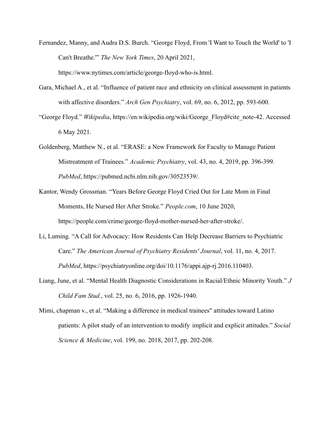- Fernandez, Manny, and Audra D.S. Burch. "George Floyd, From 'I Want to Touch the World' to 'I Can't Breathe.'" *The New York Times*, 20 April 2021, https://www.nytimes.com/article/george-floyd-who-is.html.
- Gara, Michael A., et al. "Influence of patient race and ethnicity on clinical assessment in patients with affective disorders." *Arch Gen Psychiatry*, vol. 69, no. 6, 2012, pp. 593-600.
- "George Floyd." *Wikipedia*, https://en.wikipedia.org/wiki/George\_Floyd#cite\_note-42. Accessed 6 May 2021.
- Goldenberg, Matthew N., et al. "ERASE: a New Framework for Faculty to Manage Patient Mistreatment of Trainees." *Academic Psychiatry*, vol. 43, no. 4, 2019, pp. 396-399. *PubMed*, https://pubmed.ncbi.nlm.nih.gov/30523539/.
- Kantor, Wendy Grossman. "Years Before George Floyd Cried Out for Late Mom in Final Moments, He Nursed Her After Stroke." *People.com*, 10 June 2020, https://people.com/crime/george-floyd-mother-nursed-her-after-stroke/.
- Li, Luming. "A Call for Advocacy: How Residents Can Help Decrease Barriers to Psychiatric Care." *The American Journal of Psychiatry Residents' Journal*, vol. 11, no. 4, 2017. *PubMed*, https://psychiatryonline.org/doi/10.1176/appi.ajp-rj.2016.110403.
- Liang, June, et al. "Mental Health Diagnostic Considerations in Racial/Ethnic Minority Youth." *J Child Fam Stud.*, vol. 25, no. 6, 2016, pp. 1926-1940.
- Mimi, chapman v., et al. "Making a difference in medical trainees" attitudes toward Latino patients: A pilot study of an intervention to modify implicit and explicit attitudes." *Social Science & Medicine*, vol. 199, no. 2018, 2017, pp. 202-208.